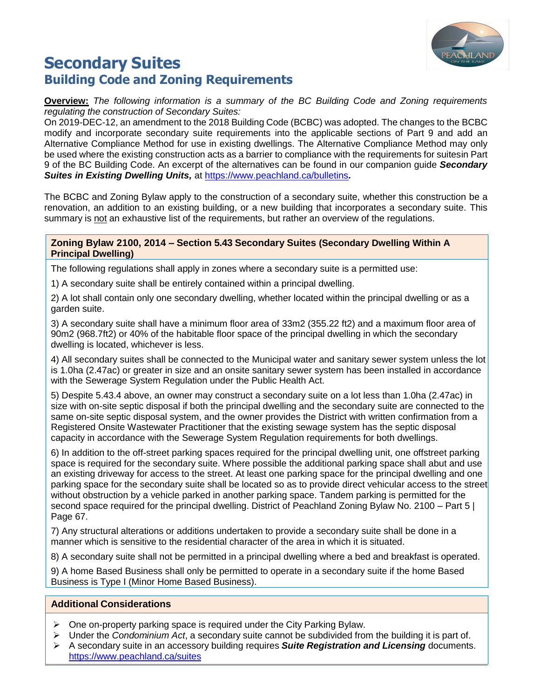

**Overview:** *The following information is a summary of the BC Building Code and Zoning requirements regulating the construction of Secondary Suites:*

On 2019-DEC-12, an amendment to the 2018 Building Code (BCBC) was adopted. The changes to the BCBC modify and incorporate secondary suite requirements into the applicable sections of Part 9 and add an Alternative Compliance Method for use in existing dwellings. The Alternative Compliance Method may only be used where the existing construction acts as a barrier to compliance with the requirements for suitesin Part 9 of the BC Building Code. An excerpt of the alternatives can be found in our companion guide *Secondary Suites in Existing Dwelling Units,* at<https://www.peachland.ca/bulletins>*.*

The BCBC and Zoning Bylaw apply to the construction of a secondary suite, whether this construction be a renovation, an addition to an existing building, or a new building that incorporates a secondary suite. This summary is not an exhaustive list of the requirements, but rather an overview of the regulations.

## **Zoning Bylaw 2100, 2014 – Section 5.43 Secondary Suites (Secondary Dwelling Within A Principal Dwelling)**

The following regulations shall apply in zones where a secondary suite is a permitted use:

1) A secondary suite shall be entirely contained within a principal dwelling.

2) A lot shall contain only one secondary dwelling, whether located within the principal dwelling or as a garden suite.

3) A secondary suite shall have a minimum floor area of 33m2 (355.22 ft2) and a maximum floor area of 90m2 (968.7ft2) or 40% of the habitable floor space of the principal dwelling in which the secondary dwelling is located, whichever is less.

4) All secondary suites shall be connected to the Municipal water and sanitary sewer system unless the lot is 1.0ha (2.47ac) or greater in size and an onsite sanitary sewer system has been installed in accordance with the Sewerage System Regulation under the Public Health Act.

5) Despite 5.43.4 above, an owner may construct a secondary suite on a lot less than 1.0ha (2.47ac) in size with on-site septic disposal if both the principal dwelling and the secondary suite are connected to the same on-site septic disposal system, and the owner provides the District with written confirmation from a Registered Onsite Wastewater Practitioner that the existing sewage system has the septic disposal capacity in accordance with the Sewerage System Regulation requirements for both dwellings.

6) In addition to the off-street parking spaces required for the principal dwelling unit, one offstreet parking space is required for the secondary suite. Where possible the additional parking space shall abut and use an existing driveway for access to the street. At least one parking space for the principal dwelling and one parking space for the secondary suite shall be located so as to provide direct vehicular access to the street without obstruction by a vehicle parked in another parking space. Tandem parking is permitted for the second space required for the principal dwelling. District of Peachland Zoning Bylaw No. 2100 – Part 5 | Page 67.

7) Any structural alterations or additions undertaken to provide a secondary suite shall be done in a manner which is sensitive to the residential character of the area in which it is situated.

8) A secondary suite shall not be permitted in a principal dwelling where a bed and breakfast is operated.

9) A home Based Business shall only be permitted to operate in a secondary suite if the home Based Business is Type I (Minor Home Based Business).

## **Additional Considerations**

- $\triangleright$  One on-property parking space is required under the City Parking Bylaw.
- Under the *Condominium Act*, a secondary suite cannot be subdivided from the building it is part of.
- A secondary suite in an accessory building requires *Suite Registration and Licensing* documents. <https://www.peachland.ca/suites>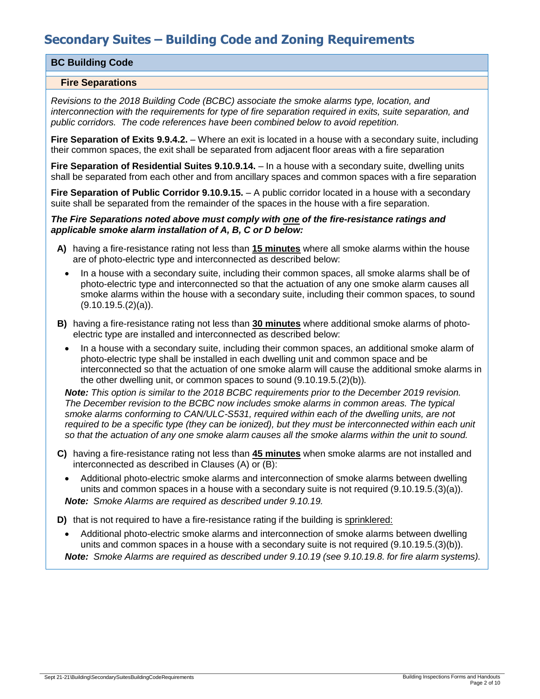# **BC Building Code**

## **Fire Separations**

*Revisions to the 2018 Building Code (BCBC) associate the smoke alarms type, location, and interconnection with the requirements for type of fire separation required in exits, suite separation, and public corridors. The code references have been combined below to avoid repetition.*

**Fire Separation of Exits 9.9.4.2.** – Where an exit is located in a house with a secondary suite, including their common spaces, the exit shall be separated from adjacent floor areas with a fire separation

**Fire Separation of Residential Suites 9.10.9.14.** – In a house with a secondary suite, dwelling units shall be separated from each other and from ancillary spaces and common spaces with a fire separation

**Fire Separation of Public Corridor 9.10.9.15.** – A public corridor located in a house with a secondary suite shall be separated from the remainder of the spaces in the house with a fire separation.

### *The Fire Separations noted above must comply with one of the fire-resistance ratings and applicable smoke alarm installation of A, B, C or D below:*

- **A)** having a fire-resistance rating not less than **15 minutes** where all smoke alarms within the house are of photo-electric type and interconnected as described below:
	- In a house with a secondary suite, including their common spaces, all smoke alarms shall be of photo-electric type and interconnected so that the actuation of any one smoke alarm causes all smoke alarms within the house with a secondary suite, including their common spaces, to sound  $(9.10.19.5.(2)(a))$ .
- **B)** having a fire-resistance rating not less than **30 minutes** where additional smoke alarms of photoelectric type are installed and interconnected as described below:
	- In a house with a secondary suite, including their common spaces, an additional smoke alarm of photo-electric type shall be installed in each dwelling unit and common space and be interconnected so that the actuation of one smoke alarm will cause the additional smoke alarms in the other dwelling unit, or common spaces to sound (9.10.19.5.(2)(b))*.*

*Note: This option is similar to the 2018 BCBC requirements prior to the December 2019 revision. The December revision to the BCBC now includes smoke alarms in common areas. The typical smoke alarms conforming to CAN/ULC-S531, required within each of the dwelling units, are not required to be a specific type (they can be ionized), but they must be interconnected within each unit so that the actuation of any one smoke alarm causes all the smoke alarms within the unit to sound.*

- **C)** having a fire-resistance rating not less than **45 minutes** when smoke alarms are not installed and interconnected as described in Clauses (A) or (B):
	- Additional photo-electric smoke alarms and interconnection of smoke alarms between dwelling units and common spaces in a house with a secondary suite is not required (9.10.19.5.(3)(a)). *Note: Smoke Alarms are required as described under 9.10.19.*

**D)** that is not required to have a fire-resistance rating if the building is sprinklered:

 Additional photo-electric smoke alarms and interconnection of smoke alarms between dwelling units and common spaces in a house with a secondary suite is not required (9.10.19.5.(3)(b)). *Note: Smoke Alarms are required as described under 9.10.19 (see 9.10.19.8. for fire alarm systems).*

Sept 21-21\Building\SecondarySuitesBuildingCodeRequirements **Building Inspections Forms and Handouts** Building Inspections Forms and Handouts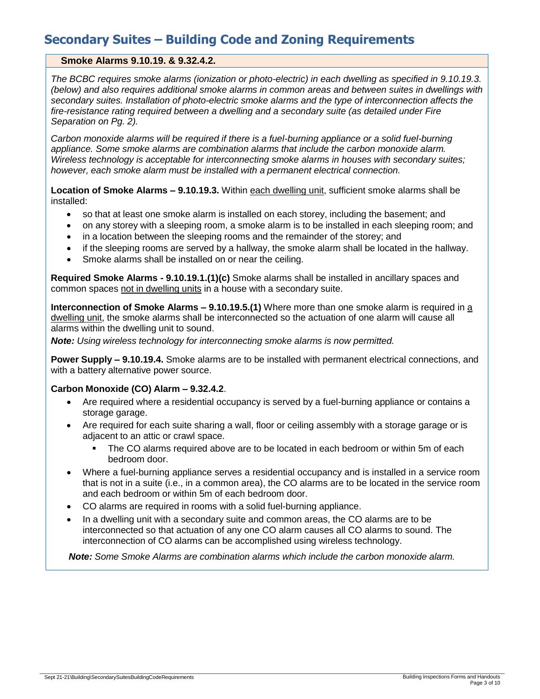# **Smoke Alarms 9.10.19. & 9.32.4.2.**

*The BCBC requires smoke alarms (ionization or photo-electric) in each dwelling as specified in 9.10.19.3. (below) and also requires additional smoke alarms in common areas and between suites in dwellings with secondary suites. Installation of photo-electric smoke alarms and the type of interconnection affects the fire-resistance rating required between a dwelling and a secondary suite (as detailed under Fire Separation on Pg. 2).*

*Carbon monoxide alarms will be required if there is a fuel-burning appliance or a solid fuel-burning appliance. Some smoke alarms are combination alarms that include the carbon monoxide alarm. Wireless technology is acceptable for interconnecting smoke alarms in houses with secondary suites; however, each smoke alarm must be installed with a permanent electrical connection.*

**Location of Smoke Alarms – 9.10.19.3.** Within each dwelling unit, sufficient smoke alarms shall be installed:

- so that at least one smoke alarm is installed on each storey, including the basement; and
- on any storey with a sleeping room, a smoke alarm is to be installed in each sleeping room; and
- in a location between the sleeping rooms and the remainder of the storey; and
- if the sleeping rooms are served by a hallway, the smoke alarm shall be located in the hallway.
- Smoke alarms shall be installed on or near the ceiling.

**Required Smoke Alarms - 9.10.19.1.(1)(c)** Smoke alarms shall be installed in ancillary spaces and common spaces not in dwelling units in a house with a secondary suite.

**Interconnection of Smoke Alarms – 9.10.19.5.(1)** Where more than one smoke alarm is required in a dwelling unit, the smoke alarms shall be interconnected so the actuation of one alarm will cause all alarms within the dwelling unit to sound.

*Note: Using wireless technology for interconnecting smoke alarms is now permitted.*

**Power Supply – 9.10.19.4.** Smoke alarms are to be installed with permanent electrical connections, and with a battery alternative power source.

## **Carbon Monoxide (CO) Alarm – 9.32.4.2**.

- Are required where a residential occupancy is served by a fuel-burning appliance or contains a storage garage.
- Are required for each suite sharing a wall, floor or ceiling assembly with a storage garage or is adjacent to an attic or crawl space.
	- The CO alarms required above are to be located in each bedroom or within 5m of each bedroom door.
- Where a fuel-burning appliance serves a residential occupancy and is installed in a service room that is not in a suite (i.e., in a common area), the CO alarms are to be located in the service room and each bedroom or within 5m of each bedroom door.
- CO alarms are required in rooms with a solid fuel-burning appliance.
- In a dwelling unit with a secondary suite and common areas, the CO alarms are to be interconnected so that actuation of any one CO alarm causes all CO alarms to sound. The interconnection of CO alarms can be accomplished using wireless technology.

*Note: Some Smoke Alarms are combination alarms which include the carbon monoxide alarm.*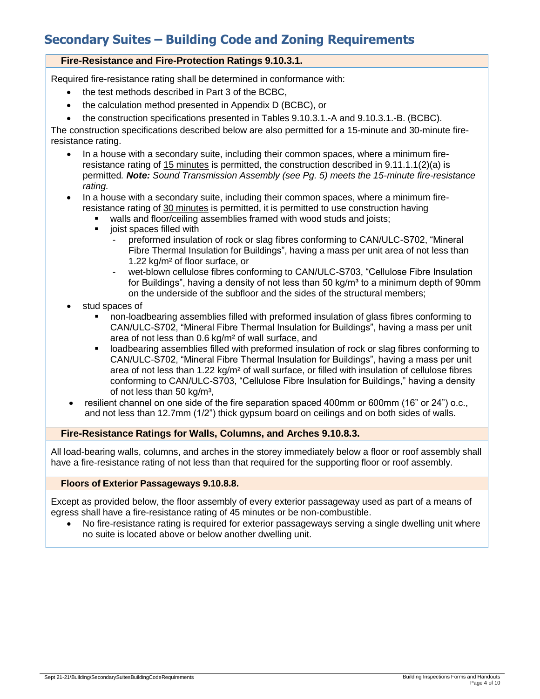# **Fire-Resistance and Fire-Protection Ratings 9.10.3.1.**

Required fire-resistance rating shall be determined in conformance with:

- the test methods described in Part 3 of the BCBC,
- the calculation method presented in Appendix D (BCBC), or
- the construction specifications presented in Tables 9.10.3.1.-A and 9.10.3.1.-B. (BCBC).

The construction specifications described below are also permitted for a 15-minute and 30-minute fireresistance rating.

- In a house with a secondary suite, including their common spaces, where a minimum fireresistance rating of 15 minutes is permitted, the construction described in 9.11.1.1(2)(a) is permitted*. Note: Sound Transmission Assembly (see Pg. 5) meets the 15-minute fire-resistance rating.*
- In a house with a secondary suite, including their common spaces, where a minimum fireresistance rating of 30 minutes is permitted, it is permitted to use construction having
	- walls and floor/ceiling assemblies framed with wood studs and joists;
	- joist spaces filled with
		- preformed insulation of rock or slag fibres conforming to CAN/ULC-S702, "Mineral Fibre Thermal Insulation for Buildings", having a mass per unit area of not less than 1.22 kg/m² of floor surface, or
		- wet-blown cellulose fibres conforming to CAN/ULC-S703, "Cellulose Fibre Insulation for Buildings", having a density of not less than 50 kg/ $m<sup>3</sup>$  to a minimum depth of 90mm on the underside of the subfloor and the sides of the structural members;
- stud spaces of
	- non-loadbearing assemblies filled with preformed insulation of glass fibres conforming to CAN/ULC-S702, "Mineral Fibre Thermal Insulation for Buildings", having a mass per unit area of not less than 0.6 kg/m² of wall surface, and
	- loadbearing assemblies filled with preformed insulation of rock or slag fibres conforming to CAN/ULC-S702, "Mineral Fibre Thermal Insulation for Buildings", having a mass per unit area of not less than 1.22 kg/m² of wall surface, or filled with insulation of cellulose fibres conforming to CAN/ULC-S703, "Cellulose Fibre Insulation for Buildings," having a density of not less than 50 kg/m<sup>3</sup>,
- resilient channel on one side of the fire separation spaced 400mm or 600mm (16" or 24") o.c., and not less than 12.7mm (1/2") thick gypsum board on ceilings and on both sides of walls.

## **Fire-Resistance Ratings for Walls, Columns, and Arches 9.10.8.3.**

All load-bearing walls, columns, and arches in the storey immediately below a floor or roof assembly shall have a fire-resistance rating of not less than that required for the supporting floor or roof assembly.

## **Floors of Exterior Passageways 9.10.8.8.**

Except as provided below, the floor assembly of every exterior passageway used as part of a means of egress shall have a fire-resistance rating of 45 minutes or be non-combustible.

 No fire-resistance rating is required for exterior passageways serving a single dwelling unit where no suite is located above or below another dwelling unit.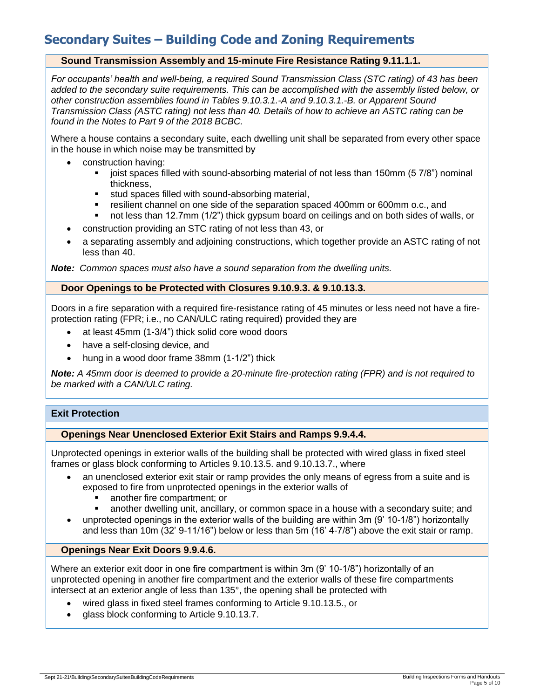# **Sound Transmission Assembly and 15-minute Fire Resistance Rating 9.11.1.1.**

*For occupants' health and well-being, a required Sound Transmission Class (STC rating) of 43 has been added to the secondary suite requirements. This can be accomplished with the assembly listed below, or other construction assemblies found in Tables 9.10.3.1.-A and 9.10.3.1.-B. or Apparent Sound Transmission Class (ASTC rating) not less than 40. Details of how to achieve an ASTC rating can be found in the Notes to Part 9 of the 2018 BCBC.*

Where a house contains a secondary suite, each dwelling unit shall be separated from every other space in the house in which noise may be transmitted by

- construction having:
	- joist spaces filled with sound-absorbing material of not less than 150mm (5 7/8") nominal thickness,
	- stud spaces filled with sound-absorbing material,
	- resilient channel on one side of the separation spaced 400mm or 600mm o.c., and
	- not less than 12.7mm (1/2") thick gypsum board on ceilings and on both sides of walls, or
- construction providing an STC rating of not less than 43, or
- a separating assembly and adjoining constructions, which together provide an ASTC rating of not less than 40.

*Note: Common spaces must also have a sound separation from the dwelling units.*

## **Door Openings to be Protected with Closures 9.10.9.3. & 9.10.13.3.**

Doors in a fire separation with a required fire-resistance rating of 45 minutes or less need not have a fireprotection rating (FPR; i.e., no CAN/ULC rating required) provided they are

- at least 45mm (1-3/4") thick solid core wood doors
- have a self-closing device, and
- hung in a wood door frame 38mm (1-1/2") thick

*Note: A 45mm door is deemed to provide a 20-minute fire-protection rating (FPR) and is not required to be marked with a CAN/ULC rating.*

## **Exit Protection**

# **Openings Near Unenclosed Exterior Exit Stairs and Ramps 9.9.4.4.**

Unprotected openings in exterior walls of the building shall be protected with wired glass in fixed steel frames or glass block conforming to Articles 9.10.13.5. and 9.10.13.7., where

- an unenclosed exterior exit stair or ramp provides the only means of egress from a suite and is exposed to fire from unprotected openings in the exterior walls of
	- another fire compartment; or
	- another dwelling unit, ancillary, or common space in a house with a secondary suite; and
- unprotected openings in the exterior walls of the building are within 3m (9' 10-1/8") horizontally and less than 10m (32' 9-11/16") below or less than 5m (16' 4-7/8") above the exit stair or ramp.

## **Openings Near Exit Doors 9.9.4.6.**

Where an exterior exit door in one fire compartment is within 3m (9' 10-1/8") horizontally of an unprotected opening in another fire compartment and the exterior walls of these fire compartments intersect at an exterior angle of less than 135°, the opening shall be protected with

- wired glass in fixed steel frames conforming to Article 9.10.13.5., or
- glass block conforming to Article 9.10.13.7.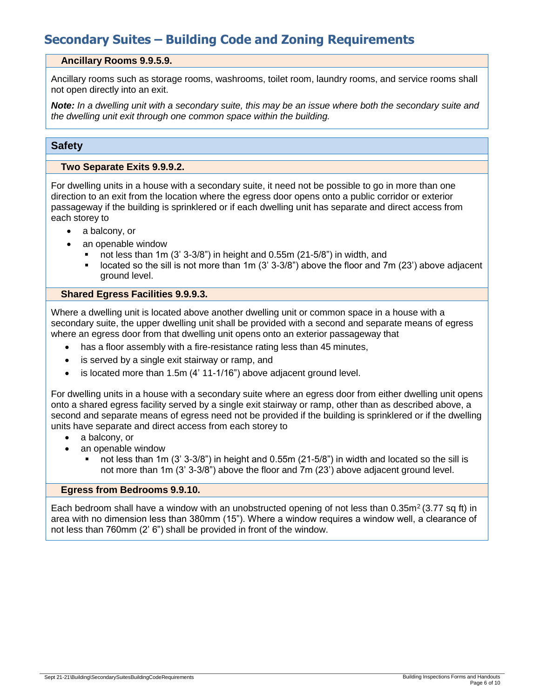## **Ancillary Rooms 9.9.5.9.**

Ancillary rooms such as storage rooms, washrooms, toilet room, laundry rooms, and service rooms shall not open directly into an exit.

*Note: In a dwelling unit with a secondary suite, this may be an issue where both the secondary suite and the dwelling unit exit through one common space within the building.*

# **Safety**

## **Two Separate Exits 9.9.9.2.**

For dwelling units in a house with a secondary suite, it need not be possible to go in more than one direction to an exit from the location where the egress door opens onto a public corridor or exterior passageway if the building is sprinklered or if each dwelling unit has separate and direct access from each storey to

- a balcony, or
- an openable window
	- not less than 1m  $(3' 3-3/8")$  in height and 0.55m  $(21-5/8")$  in width, and
	- **Dependent Solut** cated so the sill is not more than 1m  $(3' 3-3/8")$  above the floor and 7m  $(23')$  above adjacent ground level.

## **Shared Egress Facilities 9.9.9.3.**

Where a dwelling unit is located above another dwelling unit or common space in a house with a secondary suite, the upper dwelling unit shall be provided with a second and separate means of egress where an egress door from that dwelling unit opens onto an exterior passageway that

- has a floor assembly with a fire-resistance rating less than 45 minutes,
- is served by a single exit stairway or ramp, and
- is located more than 1.5m (4' 11-1/16") above adjacent ground level.

For dwelling units in a house with a secondary suite where an egress door from either dwelling unit opens onto a shared egress facility served by a single exit stairway or ramp, other than as described above, a second and separate means of egress need not be provided if the building is sprinklered or if the dwelling units have separate and direct access from each storey to

- a balcony, or
- an openable window

 not less than 1m (3' 3-3/8") in height and 0.55m (21-5/8") in width and located so the sill is not more than 1m (3' 3-3/8") above the floor and 7m (23') above adjacent ground level.

#### **Egress from Bedrooms 9.9.10.**

Each bedroom shall have a window with an unobstructed opening of not less than  $0.35m^2(3.77 \text{ sq ft})$  in area with no dimension less than 380mm (15"). Where a window requires a window well, a clearance of not less than 760mm (2' 6") shall be provided in front of the window.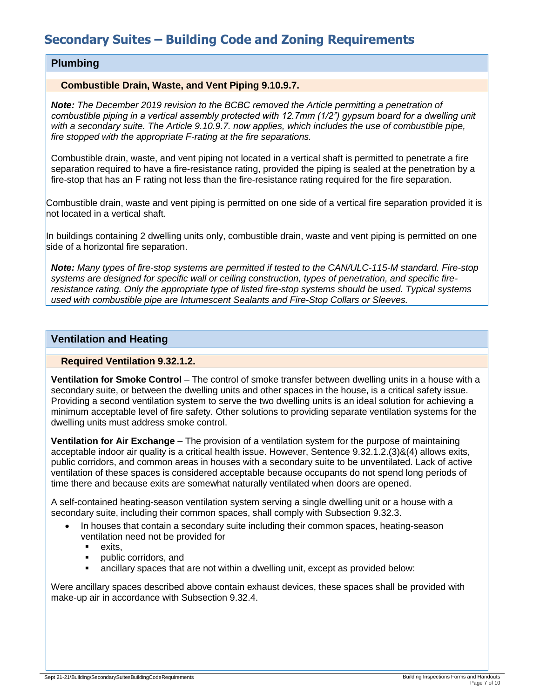## **Plumbing**

## **Combustible Drain, Waste, and Vent Piping 9.10.9.7.**

*Note: The December 2019 revision to the BCBC removed the Article permitting a penetration of combustible piping in a vertical assembly protected with 12.7mm (1/2") gypsum board for a dwelling unit with a secondary suite. The Article 9.10.9.7. now applies, which includes the use of combustible pipe, fire stopped with the appropriate F-rating at the fire separations.*

Combustible drain, waste, and vent piping not located in a vertical shaft is permitted to penetrate a fire separation required to have a fire-resistance rating, provided the piping is sealed at the penetration by a fire-stop that has an F rating not less than the fire-resistance rating required for the fire separation.

Combustible drain, waste and vent piping is permitted on one side of a vertical fire separation provided it is not located in a vertical shaft.

In buildings containing 2 dwelling units only, combustible drain, waste and vent piping is permitted on one side of a horizontal fire separation.

*Note: Many types of fire-stop systems are permitted if tested to the CAN/ULC-115-M standard. Fire-stop systems are designed for specific wall or ceiling construction, types of penetration, and specific fireresistance rating. Only the appropriate type of listed fire-stop systems should be used. Typical systems used with combustible pipe are Intumescent Sealants and Fire-Stop Collars or Sleeves.*

## **Ventilation and Heating**

## **Required Ventilation 9.32.1.2.**

**Ventilation for Smoke Control** – The control of smoke transfer between dwelling units in a house with a secondary suite, or between the dwelling units and other spaces in the house, is a critical safety issue. Providing a second ventilation system to serve the two dwelling units is an ideal solution for achieving a minimum acceptable level of fire safety. Other solutions to providing separate ventilation systems for the dwelling units must address smoke control.

**Ventilation for Air Exchange** – The provision of a ventilation system for the purpose of maintaining acceptable indoor air quality is a critical health issue. However, Sentence 9.32.1.2.(3)&(4) allows exits, public corridors, and common areas in houses with a secondary suite to be unventilated. Lack of active ventilation of these spaces is considered acceptable because occupants do not spend long periods of time there and because exits are somewhat naturally ventilated when doors are opened.

A self-contained heating-season ventilation system serving a single dwelling unit or a house with a secondary suite, including their common spaces, shall comply with Subsection 9.32.3.

- In houses that contain a secondary suite including their common spaces, heating-season ventilation need not be provided for
	- $e$ **xits.**
	- **public corridors, and**
	- ancillary spaces that are not within a dwelling unit, except as provided below:

Were ancillary spaces described above contain exhaust devices, these spaces shall be provided with make-up air in accordance with Subsection 9.32.4.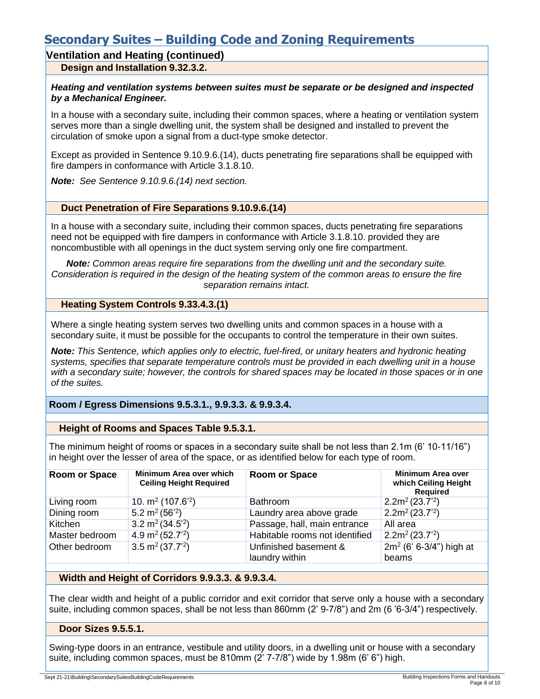**Ventilation and Heating (continued)**

**Design and Installation 9.32.3.2.**

## *Heating and ventilation systems between suites must be separate or be designed and inspected by a Mechanical Engineer.*

In a house with a secondary suite, including their common spaces, where a heating or ventilation system serves more than a single dwelling unit, the system shall be designed and installed to prevent the circulation of smoke upon a signal from a duct-type smoke detector.

Except as provided in Sentence 9.10.9.6.(14), ducts penetrating fire separations shall be equipped with fire dampers in conformance with Article 3.1.8.10.

*Note: See Sentence 9.10.9.6.(14) next section.*

## **Duct Penetration of Fire Separations 9.10.9.6.(14)**

In a house with a secondary suite, including their common spaces, ducts penetrating fire separations need not be equipped with fire dampers in conformance with Article 3.1.8.10. provided they are noncombustible with all openings in the duct system serving only one fire compartment.

*Note: Common areas require fire separations from the dwelling unit and the secondary suite. Consideration is required in the design of the heating system of the common areas to ensure the fire separation remains intact.*

## **Heating System Controls 9.33.4.3.(1)**

Where a single heating system serves two dwelling units and common spaces in a house with a secondary suite, it must be possible for the occupants to control the temperature in their own suites.

*Note: This Sentence, which applies only to electric, fuel-fired, or unitary heaters and hydronic heating systems, specifies that separate temperature controls must be provided in each dwelling unit in a house with a secondary suite; however, the controls for shared spaces may be located in those spaces or in one of the suites.*

## **Room / Egress Dimensions 9.5.3.1., 9.9.3.3. & 9.9.3.4.**

## **Height of Rooms and Spaces Table 9.5.3.1.**

The minimum height of rooms or spaces in a secondary suite shall be not less than 2.1m (6' 10-11/16") in height over the lesser of area of the space, or as identified below for each type of room.

| <b>Room or Space</b> | Minimum Area over which<br><b>Ceiling Height Required</b> | Room or Space                           | <b>Minimum Area over</b><br>which Ceiling Height<br><b>Required</b> |
|----------------------|-----------------------------------------------------------|-----------------------------------------|---------------------------------------------------------------------|
| Living room          | 10. $m^2$ (107.6 <sup>2</sup> )                           | <b>Bathroom</b>                         | $2.2m^2(23.7^2)$                                                    |
| Dining room          | 5.2 m <sup>2</sup> (56 <sup>2</sup> )                     | Laundry area above grade                | $2.2m^2(23.7^2)$                                                    |
| Kitchen              | 3.2 $m^2$ (34.5 <sup>2</sup> )                            | Passage, hall, main entrance            | All area                                                            |
| Master bedroom       | 4.9 $m^2$ (52.7 <sup>'2</sup> )                           | Habitable rooms not identified          | $2.2m^2(23.7^2)$                                                    |
| Other bedroom        | 3.5 $m2$ (37.7 <sup>'2</sup> )                            | Unfinished basement &<br>laundry within | $2m^2$ (6' 6-3/4") high at<br>beams                                 |

# **Width and Height of Corridors 9.9.3.3. & 9.9.3.4.**

The clear width and height of a public corridor and exit corridor that serve only a house with a secondary suite, including common spaces, shall be not less than 860mm (2' 9-7/8") and 2m (6 '6-3/4") respectively.

## **Door Sizes 9.5.5.1.**

Swing-type doors in an entrance, vestibule and utility doors, in a dwelling unit or house with a secondary suite, including common spaces, must be 810mm (2' 7-7/8") wide by 1.98m (6' 6") high.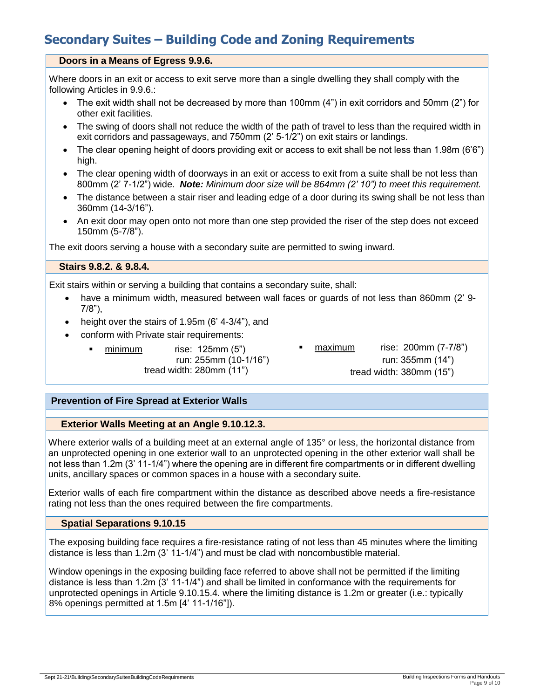## **Doors in a Means of Egress 9.9.6.**

Where doors in an exit or access to exit serve more than a single dwelling they shall comply with the following Articles in 9.9.6.:

- The exit width shall not be decreased by more than 100mm (4") in exit corridors and 50mm (2") for other exit facilities.
- The swing of doors shall not reduce the width of the path of travel to less than the required width in exit corridors and passageways, and 750mm (2' 5-1/2") on exit stairs or landings.
- The clear opening height of doors providing exit or access to exit shall be not less than 1.98m (6'6") high.
- The clear opening width of doorways in an exit or access to exit from a suite shall be not less than 800mm (2' 7-1/2") wide. *Note: Minimum door size will be 864mm (2' 10") to meet this requirement.*
- The distance between a stair riser and leading edge of a door during its swing shall be not less than 360mm (14-3/16").
- An exit door may open onto not more than one step provided the riser of the step does not exceed 150mm (5-7/8").

The exit doors serving a house with a secondary suite are permitted to swing inward.

## **Stairs 9.8.2. & 9.8.4.**

Exit stairs within or serving a building that contains a secondary suite, shall:

- have a minimum width, measured between wall faces or guards of not less than 860mm (2' 9-7/8"),
- height over the stairs of 1.95m (6' 4-3/4"), and
- conform with Private stair requirements:
	- minimum rise: 125mm (5")

run: 255mm (10-1/16") tread width: 280mm (11")

 maximum rise: 200mm (7-7/8") run: 355mm (14")

tread width: 380mm (15")

## **Prevention of Fire Spread at Exterior Walls**

## **Exterior Walls Meeting at an Angle 9.10.12.3.**

Where exterior walls of a building meet at an external angle of 135° or less, the horizontal distance from an unprotected opening in one exterior wall to an unprotected opening in the other exterior wall shall be not less than 1.2m (3' 11-1/4") where the opening are in different fire compartments or in different dwelling units, ancillary spaces or common spaces in a house with a secondary suite.

Exterior walls of each fire compartment within the distance as described above needs a fire-resistance rating not less than the ones required between the fire compartments.

## **Spatial Separations 9.10.15**

The exposing building face requires a fire-resistance rating of not less than 45 minutes where the limiting distance is less than 1.2m (3' 11-1/4") and must be clad with noncombustible material.

Window openings in the exposing building face referred to above shall not be permitted if the limiting distance is less than 1.2m (3' 11-1/4") and shall be limited in conformance with the requirements for unprotected openings in Article 9.10.15.4. where the limiting distance is 1.2m or greater (i.e.: typically 8% openings permitted at 1.5m [4' 11-1/16"]).